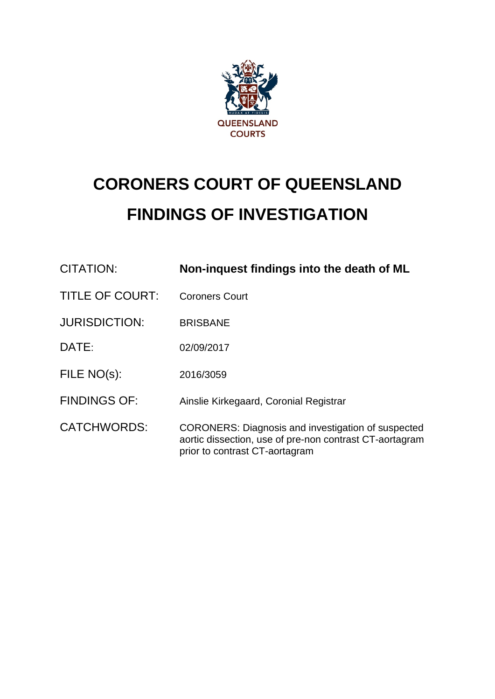

# **CORONERS COURT OF QUEENSLAND FINDINGS OF INVESTIGATION**

| CITATION:              | Non-inquest findings into the death of ML                                                                                                              |
|------------------------|--------------------------------------------------------------------------------------------------------------------------------------------------------|
| <b>TITLE OF COURT:</b> | <b>Coroners Court</b>                                                                                                                                  |
| <b>JURISDICTION:</b>   | <b>BRISBANE</b>                                                                                                                                        |
| DATE:                  | 02/09/2017                                                                                                                                             |
| FILE NO(s):            | 2016/3059                                                                                                                                              |
| <b>FINDINGS OF:</b>    | Ainslie Kirkegaard, Coronial Registrar                                                                                                                 |
| <b>CATCHWORDS:</b>     | <b>CORONERS: Diagnosis and investigation of suspected</b><br>aortic dissection, use of pre-non contrast CT-aortagram<br>prior to contrast CT-aortagram |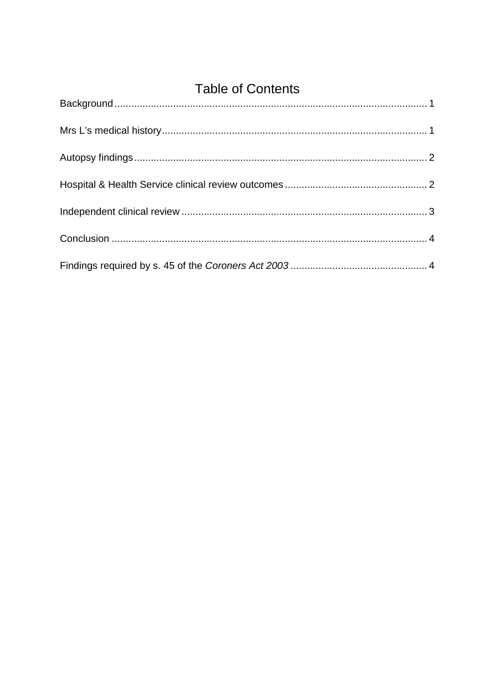<span id="page-1-0"></span>

| <b>Table of Contents</b> |  |  |
|--------------------------|--|--|
|                          |  |  |
|                          |  |  |
|                          |  |  |
|                          |  |  |
|                          |  |  |
|                          |  |  |
|                          |  |  |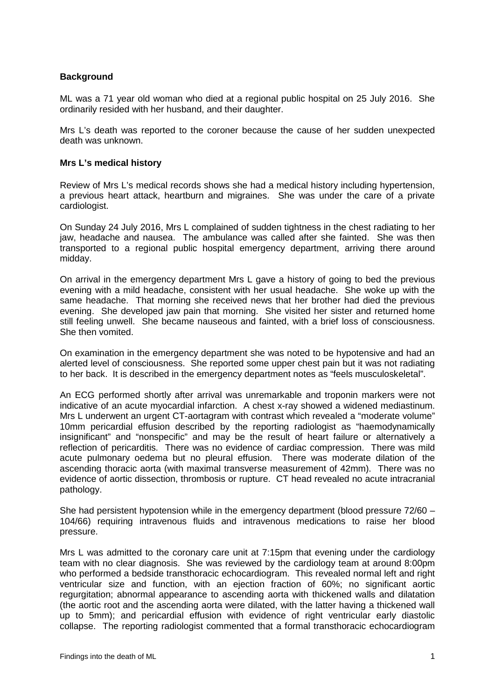### **Background**

ML was a 71 year old woman who died at a regional public hospital on 25 July 2016. She ordinarily resided with her husband, and their daughter.

Mrs L's death was reported to the coroner because the cause of her sudden unexpected death was unknown.

#### <span id="page-2-0"></span>**Mrs L's medical history**

Review of Mrs L's medical records shows she had a medical history including hypertension, a previous heart attack, heartburn and migraines. She was under the care of a private cardiologist.

On Sunday 24 July 2016, Mrs L complained of sudden tightness in the chest radiating to her jaw, headache and nausea. The ambulance was called after she fainted. She was then transported to a regional public hospital emergency department, arriving there around midday.

On arrival in the emergency department Mrs L gave a history of going to bed the previous evening with a mild headache, consistent with her usual headache. She woke up with the same headache. That morning she received news that her brother had died the previous evening. She developed jaw pain that morning. She visited her sister and returned home still feeling unwell. She became nauseous and fainted, with a brief loss of consciousness. She then vomited.

On examination in the emergency department she was noted to be hypotensive and had an alerted level of consciousness. She reported some upper chest pain but it was not radiating to her back. It is described in the emergency department notes as "feels musculoskeletal".

An ECG performed shortly after arrival was unremarkable and troponin markers were not indicative of an acute myocardial infarction. A chest x-ray showed a widened mediastinum. Mrs L underwent an urgent CT-aortagram with contrast which revealed a "moderate volume" 10mm pericardial effusion described by the reporting radiologist as "haemodynamically insignificant" and "nonspecific" and may be the result of heart failure or alternatively a reflection of pericarditis. There was no evidence of cardiac compression. There was mild acute pulmonary oedema but no pleural effusion. There was moderate dilation of the ascending thoracic aorta (with maximal transverse measurement of 42mm). There was no evidence of aortic dissection, thrombosis or rupture. CT head revealed no acute intracranial pathology.

She had persistent hypotension while in the emergency department (blood pressure 72/60 – 104/66) requiring intravenous fluids and intravenous medications to raise her blood pressure.

Mrs L was admitted to the coronary care unit at 7:15pm that evening under the cardiology team with no clear diagnosis. She was reviewed by the cardiology team at around 8:00pm who performed a bedside transthoracic echocardiogram. This revealed normal left and right ventricular size and function, with an ejection fraction of 60%; no significant aortic regurgitation; abnormal appearance to ascending aorta with thickened walls and dilatation (the aortic root and the ascending aorta were dilated, with the latter having a thickened wall up to 5mm); and pericardial effusion with evidence of right ventricular early diastolic collapse. The reporting radiologist commented that a formal transthoracic echocardiogram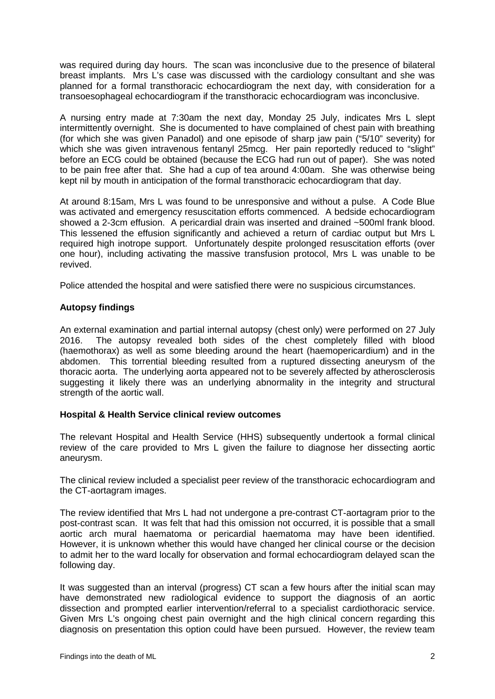was required during day hours. The scan was inconclusive due to the presence of bilateral breast implants. Mrs L's case was discussed with the cardiology consultant and she was planned for a formal transthoracic echocardiogram the next day, with consideration for a transoesophageal echocardiogram if the transthoracic echocardiogram was inconclusive.

A nursing entry made at 7:30am the next day, Monday 25 July, indicates Mrs L slept intermittently overnight. She is documented to have complained of chest pain with breathing (for which she was given Panadol) and one episode of sharp jaw pain ("5/10" severity) for which she was given intravenous fentanyl 25mcg. Her pain reportedly reduced to "slight" before an ECG could be obtained (because the ECG had run out of paper). She was noted to be pain free after that. She had a cup of tea around 4:00am. She was otherwise being kept nil by mouth in anticipation of the formal transthoracic echocardiogram that day.

At around 8:15am, Mrs L was found to be unresponsive and without a pulse. A Code Blue was activated and emergency resuscitation efforts commenced. A bedside echocardiogram showed a 2-3cm effusion. A pericardial drain was inserted and drained ~500ml frank blood. This lessened the effusion significantly and achieved a return of cardiac output but Mrs L required high inotrope support. Unfortunately despite prolonged resuscitation efforts (over one hour), including activating the massive transfusion protocol, Mrs L was unable to be revived.

<span id="page-3-0"></span>Police attended the hospital and were satisfied there were no suspicious circumstances.

# **Autopsy findings**

An external examination and partial internal autopsy (chest only) were performed on 27 July 2016. The autopsy revealed both sides of the chest completely filled with blood (haemothorax) as well as some bleeding around the heart (haemopericardium) and in the abdomen. This torrential bleeding resulted from a ruptured dissecting aneurysm of the thoracic aorta. The underlying aorta appeared not to be severely affected by atherosclerosis suggesting it likely there was an underlying abnormality in the integrity and structural strength of the aortic wall.

### <span id="page-3-1"></span>**Hospital & Health Service clinical review outcomes**

The relevant Hospital and Health Service (HHS) subsequently undertook a formal clinical review of the care provided to Mrs L given the failure to diagnose her dissecting aortic aneurysm.

The clinical review included a specialist peer review of the transthoracic echocardiogram and the CT-aortagram images.

The review identified that Mrs L had not undergone a pre-contrast CT-aortagram prior to the post-contrast scan. It was felt that had this omission not occurred, it is possible that a small aortic arch mural haematoma or pericardial haematoma may have been identified. However, it is unknown whether this would have changed her clinical course or the decision to admit her to the ward locally for observation and formal echocardiogram delayed scan the following day.

It was suggested than an interval (progress) CT scan a few hours after the initial scan may have demonstrated new radiological evidence to support the diagnosis of an aortic dissection and prompted earlier intervention/referral to a specialist cardiothoracic service. Given Mrs L's ongoing chest pain overnight and the high clinical concern regarding this diagnosis on presentation this option could have been pursued. However, the review team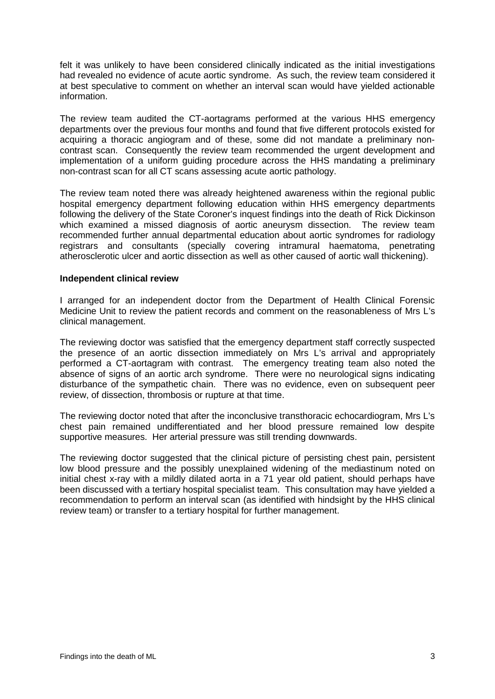felt it was unlikely to have been considered clinically indicated as the initial investigations had revealed no evidence of acute aortic syndrome. As such, the review team considered it at best speculative to comment on whether an interval scan would have yielded actionable information.

The review team audited the CT-aortagrams performed at the various HHS emergency departments over the previous four months and found that five different protocols existed for acquiring a thoracic angiogram and of these, some did not mandate a preliminary noncontrast scan. Consequently the review team recommended the urgent development and implementation of a uniform guiding procedure across the HHS mandating a preliminary non-contrast scan for all CT scans assessing acute aortic pathology.

The review team noted there was already heightened awareness within the regional public hospital emergency department following education within HHS emergency departments following the delivery of the State Coroner's inquest findings into the death of Rick Dickinson which examined a missed diagnosis of aortic aneurysm dissection. The review team recommended further annual departmental education about aortic syndromes for radiology registrars and consultants (specially covering intramural haematoma, penetrating atherosclerotic ulcer and aortic dissection as well as other caused of aortic wall thickening).

#### <span id="page-4-0"></span>**Independent clinical review**

I arranged for an independent doctor from the Department of Health Clinical Forensic Medicine Unit to review the patient records and comment on the reasonableness of Mrs L's clinical management.

The reviewing doctor was satisfied that the emergency department staff correctly suspected the presence of an aortic dissection immediately on Mrs L's arrival and appropriately performed a CT-aortagram with contrast. The emergency treating team also noted the absence of signs of an aortic arch syndrome. There were no neurological signs indicating disturbance of the sympathetic chain. There was no evidence, even on subsequent peer review, of dissection, thrombosis or rupture at that time.

The reviewing doctor noted that after the inconclusive transthoracic echocardiogram, Mrs L's chest pain remained undifferentiated and her blood pressure remained low despite supportive measures. Her arterial pressure was still trending downwards.

The reviewing doctor suggested that the clinical picture of persisting chest pain, persistent low blood pressure and the possibly unexplained widening of the mediastinum noted on initial chest x-ray with a mildly dilated aorta in a 71 year old patient, should perhaps have been discussed with a tertiary hospital specialist team. This consultation may have yielded a recommendation to perform an interval scan (as identified with hindsight by the HHS clinical review team) or transfer to a tertiary hospital for further management.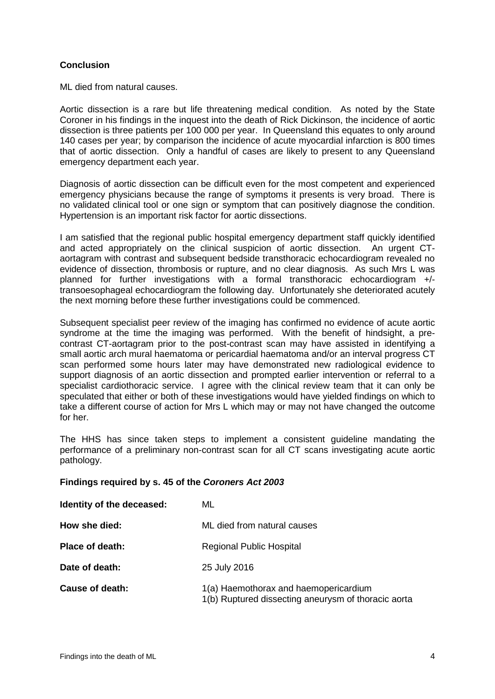# <span id="page-5-0"></span>**Conclusion**

ML died from natural causes.

Aortic dissection is a rare but life threatening medical condition. As noted by the State Coroner in his findings in the inquest into the death of Rick Dickinson, the incidence of aortic dissection is three patients per 100 000 per year. In Queensland this equates to only around 140 cases per year; by comparison the incidence of acute myocardial infarction is 800 times that of aortic dissection. Only a handful of cases are likely to present to any Queensland emergency department each year.

Diagnosis of aortic dissection can be difficult even for the most competent and experienced emergency physicians because the range of symptoms it presents is very broad. There is no validated clinical tool or one sign or symptom that can positively diagnose the condition. Hypertension is an important risk factor for aortic dissections.

I am satisfied that the regional public hospital emergency department staff quickly identified and acted appropriately on the clinical suspicion of aortic dissection. An urgent CTaortagram with contrast and subsequent bedside transthoracic echocardiogram revealed no evidence of dissection, thrombosis or rupture, and no clear diagnosis. As such Mrs L was planned for further investigations with a formal transthoracic echocardiogram +/ transoesophageal echocardiogram the following day. Unfortunately she deteriorated acutely the next morning before these further investigations could be commenced.

Subsequent specialist peer review of the imaging has confirmed no evidence of acute aortic syndrome at the time the imaging was performed. With the benefit of hindsight, a precontrast CT-aortagram prior to the post-contrast scan may have assisted in identifying a small aortic arch mural haematoma or pericardial haematoma and/or an interval progress CT scan performed some hours later may have demonstrated new radiological evidence to support diagnosis of an aortic dissection and prompted earlier intervention or referral to a specialist cardiothoracic service. I agree with the clinical review team that it can only be speculated that either or both of these investigations would have yielded findings on which to take a different course of action for Mrs L which may or may not have changed the outcome for her.

The HHS has since taken steps to implement a consistent guideline mandating the performance of a preliminary non-contrast scan for all CT scans investigating acute aortic pathology.

### <span id="page-5-1"></span>**Findings required by s. 45 of the** *Coroners Act 2003*

| Identity of the deceased: | ML                                                                                           |
|---------------------------|----------------------------------------------------------------------------------------------|
| How she died:             | ML died from natural causes                                                                  |
| <b>Place of death:</b>    | Regional Public Hospital                                                                     |
| Date of death:            | 25 July 2016                                                                                 |
| Cause of death:           | 1(a) Haemothorax and haemopericardium<br>1(b) Ruptured dissecting aneurysm of thoracic aorta |